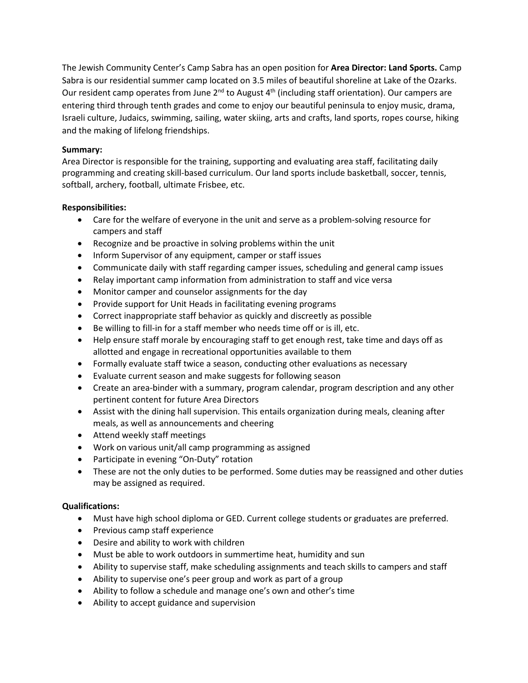The Jewish Community Center's Camp Sabra has an open position for **Area Director: Land Sports.** Camp Sabra is our residential summer camp located on 3.5 miles of beautiful shoreline at Lake of the Ozarks. Our resident camp operates from June  $2^{nd}$  to August  $4^{th}$  (including staff orientation). Our campers are entering third through tenth grades and come to enjoy our beautiful peninsula to enjoy music, drama, Israeli culture, Judaics, swimming, sailing, water skiing, arts and crafts, land sports, ropes course, hiking and the making of lifelong friendships.

## **Summary:**

Area Director is responsible for the training, supporting and evaluating area staff, facilitating daily programming and creating skill-based curriculum. Our land sports include basketball, soccer, tennis, softball, archery, football, ultimate Frisbee, etc.

## **Responsibilities:**

- Care for the welfare of everyone in the unit and serve as a problem-solving resource for campers and staff
- Recognize and be proactive in solving problems within the unit
- Inform Supervisor of any equipment, camper or staff issues
- Communicate daily with staff regarding camper issues, scheduling and general camp issues
- Relay important camp information from administration to staff and vice versa
- Monitor camper and counselor assignments for the day
- Provide support for Unit Heads in facilitating evening programs
- Correct inappropriate staff behavior as quickly and discreetly as possible
- Be willing to fill-in for a staff member who needs time off or is ill, etc.
- Help ensure staff morale by encouraging staff to get enough rest, take time and days off as allotted and engage in recreational opportunities available to them
- Formally evaluate staff twice a season, conducting other evaluations as necessary
- Evaluate current season and make suggests for following season
- Create an area-binder with a summary, program calendar, program description and any other pertinent content for future Area Directors
- Assist with the dining hall supervision. This entails organization during meals, cleaning after meals, as well as announcements and cheering
- Attend weekly staff meetings
- Work on various unit/all camp programming as assigned
- Participate in evening "On-Duty" rotation
- These are not the only duties to be performed. Some duties may be reassigned and other duties may be assigned as required.

## **Qualifications:**

- Must have high school diploma or GED. Current college students or graduates are preferred.
- Previous camp staff experience
- Desire and ability to work with children
- Must be able to work outdoors in summertime heat, humidity and sun
- Ability to supervise staff, make scheduling assignments and teach skills to campers and staff
- Ability to supervise one's peer group and work as part of a group
- Ability to follow a schedule and manage one's own and other's time
- Ability to accept guidance and supervision